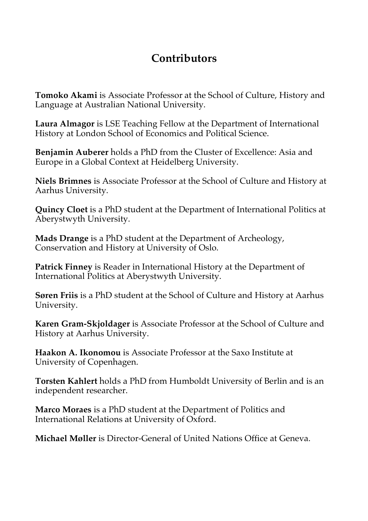## **Contributors**

**Tomoko Akami** is Associate Professor at the School of Culture, History and Language at Australian National University.

**Laura Almagor** is LSE Teaching Fellow at the Department of International History at London School of Economics and Political Science.

**Benjamin Auberer** holds a PhD from the Cluster of Excellence: Asia and Europe in a Global Context at Heidelberg University.

**Niels Brimnes** is Associate Professor at the School of Culture and History at Aarhus University.

**Quincy Cloet** is a PhD student at the Department of International Politics at Aberystwyth University.

**Mads Drange** is a PhD student at the Department of Archeology, Conservation and History at University of Oslo.

**Patrick Finney** is Reader in International History at the Department of International Politics at Aberystwyth University.

**Søren Friis** is a PhD student at the School of Culture and History at Aarhus University.

**Karen Gram-Skjoldager** is Associate Professor at the School of Culture and History at Aarhus University.

**Haakon A. Ikonomou** is Associate Professor at the Saxo Institute at University of Copenhagen.

**Torsten Kahlert** holds a PhD from Humboldt University of Berlin and is an independent researcher.

**Marco Moraes** is a PhD student at the Department of Politics and International Relations at University of Oxford.

**Michael Møller** is Director-General of United Nations Office at Geneva.